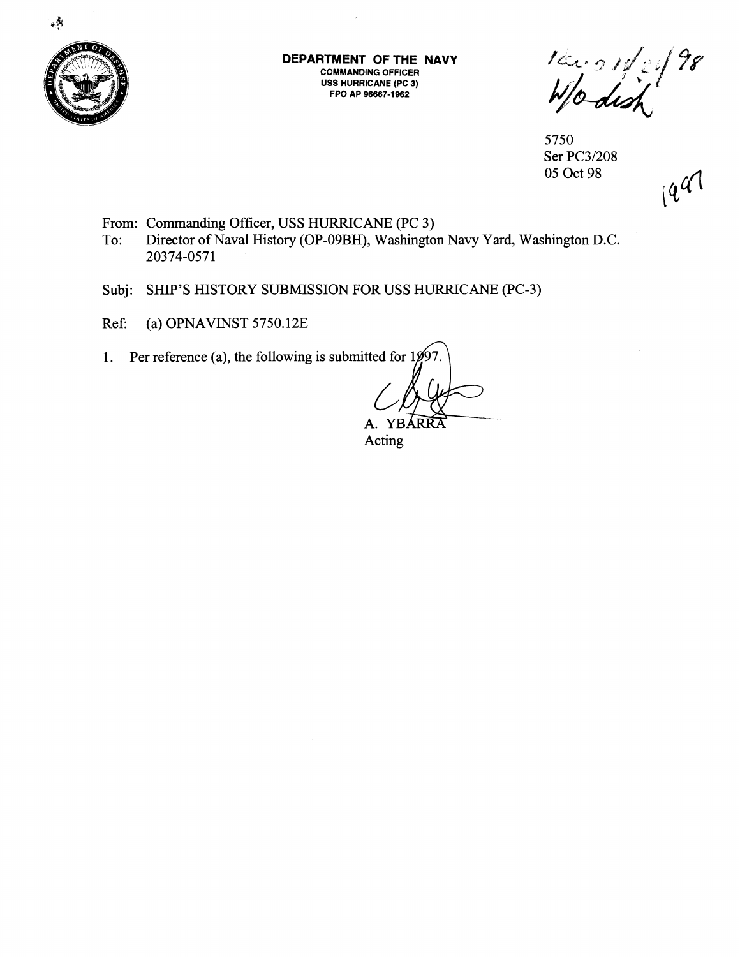

 $\mathbf{v}$ 

**DEPARTMENT OF THE NAVY COMMANDING OFFICER USS HURRICANE (PC 3) FPO AP 96667-1962** 

 $\frac{1}{2}$  /  $\frac{1}{2}$  /  $\frac{1}{2}$ 

5750 Ser PC31208 05 Oct 98

 $194$ 

- From: Commanding Officer, USS HURRICANE (PC 3)<br>To: Director of Naval History (OP-09BH), Washingto
- Director of Naval History (OP-09BH), Washington Navy Yard, Washington D.C. 20374-0571
- Subj: SHIP'S HISTORY SUBMISSION FOR USS HURRICANE (PC-3)
- Ref: (a) OPNAVINST 5750.12E
- 1. Per reference (a), the following is submitted for  $1997$

YBARRA A

Acting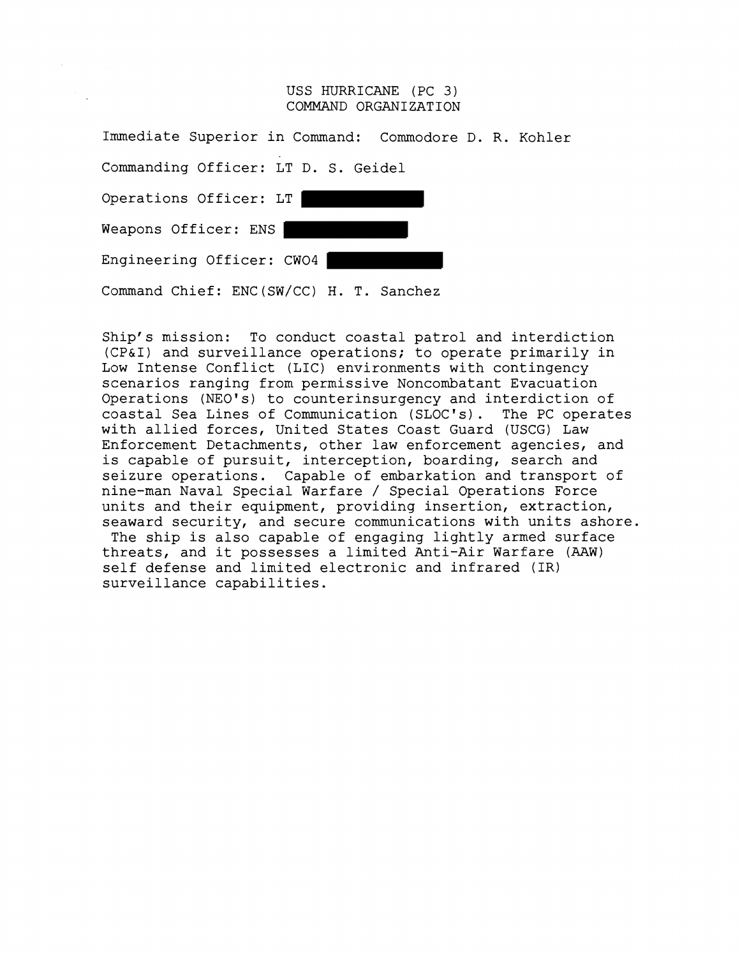## USS HURRICANE (PC 3) COMMAND ORGANIZATION

| Immediate Superior in Command: Commodore D. R. Kohler |  |  |  |
|-------------------------------------------------------|--|--|--|
| Commanding Officer: LT D. S. Geidel                   |  |  |  |
| Operations Officer: LT                                |  |  |  |
| Weapons Officer: ENS                                  |  |  |  |
| Engineering Officer: CWO4                             |  |  |  |
| Command Chief: ENC (SW/CC) H. T. Sanchez              |  |  |  |

Ship's mission: To conduct coastal patrol and interdiction (CP&I) and surveillance operations; to operate primarily in Low Intense Conflict (LIC) environments with contingency scenarios ranging from permissive Noncombatant Evacuation Operations (NEO's) to counterinsurgency and interdiction of coastal Sea Lines of Communication (SLOC's). The PC operates with allied forces, United States Coast Guard (USCG) Law Enforcement Detachments, other law enforcement agencies, and is capable of pursuit, interception, boarding, search and seizure operations. Capable of embarkation and transport of nine-man Naval Special Warfare / Special Operations Force units and their equipment, providing insertion, extraction, seaward security, and secure communications with units ashore. The ship is also capable of engaging lightly armed surface threats, and it possesses a limited Anti-Air Warfare **(AAW)**  self defense and limited electronic and infrared (IR) surveillance capabilities.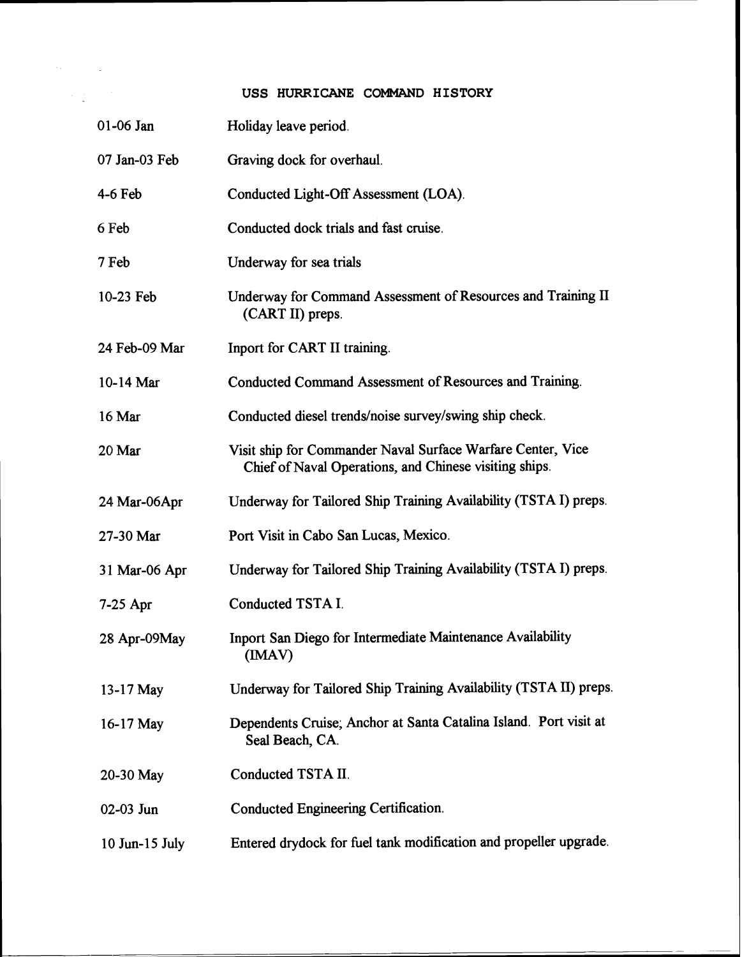## **USS HURRICANE COMMAND HISTORY**

 $\label{eq:2.1} \mathcal{L}(\mathcal{E}) = \mathcal{L}(\mathcal{E}) \mathcal{L}(\mathcal{E}) = \mathcal{L}(\mathcal{E}) \mathcal{L}(\mathcal{E})$ 

 $\label{eq:2.1} \frac{1}{2} \sum_{i=1}^n \frac{1}{2} \sum_{j=1}^n \frac{1}{2} \sum_{j=1}^n \frac{1}{2} \sum_{j=1}^n \frac{1}{2} \sum_{j=1}^n \frac{1}{2} \sum_{j=1}^n \frac{1}{2} \sum_{j=1}^n \frac{1}{2} \sum_{j=1}^n \frac{1}{2} \sum_{j=1}^n \frac{1}{2} \sum_{j=1}^n \frac{1}{2} \sum_{j=1}^n \frac{1}{2} \sum_{j=1}^n \frac{1}{2} \sum_{j=1}^n \frac{$ 

| $01-06$ Jan    | Holiday leave period.                                                                                                 |
|----------------|-----------------------------------------------------------------------------------------------------------------------|
| 07 Jan-03 Feb  | Graving dock for overhaul.                                                                                            |
| $4-6$ Feb      | Conducted Light-Off Assessment (LOA).                                                                                 |
| 6 Feb          | Conducted dock trials and fast cruise.                                                                                |
| 7 Feb          | Underway for sea trials                                                                                               |
| 10-23 Feb      | Underway for Command Assessment of Resources and Training II<br>(CART II) preps.                                      |
| 24 Feb-09 Mar  | Inport for CART II training.                                                                                          |
| 10-14 Mar      | Conducted Command Assessment of Resources and Training.                                                               |
| 16 Mar         | Conducted diesel trends/noise survey/swing ship check.                                                                |
| 20 Mar         | Visit ship for Commander Naval Surface Warfare Center, Vice<br>Chief of Naval Operations, and Chinese visiting ships. |
| 24 Mar-06Apr   | Underway for Tailored Ship Training Availability (TSTA I) preps.                                                      |
| 27-30 Mar      | Port Visit in Cabo San Lucas, Mexico.                                                                                 |
| 31 Mar-06 Apr  | Underway for Tailored Ship Training Availability (TSTA I) preps.                                                      |
| $7-25$ Apr     | Conducted TSTA I.                                                                                                     |
| 28 Apr-09May   | Inport San Diego for Intermediate Maintenance Availability<br>(IMAV)                                                  |
| 13-17 May      | Underway for Tailored Ship Training Availability (TSTA II) preps.                                                     |
| 16-17 May      | Dependents Cruise, Anchor at Santa Catalina Island. Port visit at<br>Seal Beach, CA.                                  |
| 20-30 May      | Conducted TSTA II.                                                                                                    |
| 02-03 Jun      | Conducted Engineering Certification.                                                                                  |
| 10 Jun-15 July | Entered drydock for fuel tank modification and propeller upgrade.                                                     |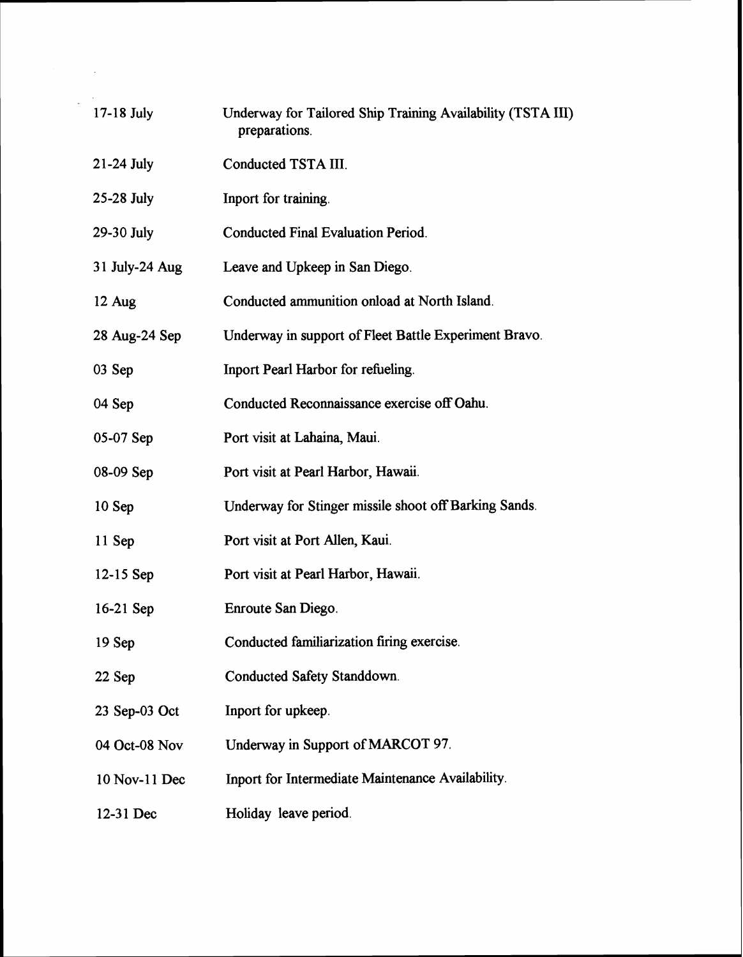| $17-18$ July   | Underway for Tailored Ship Training Availability (TSTA III)<br>preparations. |
|----------------|------------------------------------------------------------------------------|
| $21-24$ July   | Conducted TSTA III.                                                          |
| 25-28 July     | Inport for training.                                                         |
| 29-30 July     | <b>Conducted Final Evaluation Period.</b>                                    |
| 31 July-24 Aug | Leave and Upkeep in San Diego.                                               |
| 12 Aug         | Conducted ammunition onload at North Island.                                 |
| 28 Aug-24 Sep  | Underway in support of Fleet Battle Experiment Bravo.                        |
| 03 Sep         | Inport Pearl Harbor for refueling.                                           |
| 04 Sep         | Conducted Reconnaissance exercise off Oahu.                                  |
| 05-07 Sep      | Port visit at Lahaina, Maui.                                                 |
| 08-09 Sep      | Port visit at Pearl Harbor, Hawaii.                                          |
| 10 Sep         | Underway for Stinger missile shoot off Barking Sands.                        |
| 11 Sep         | Port visit at Port Allen, Kaui.                                              |
| $12-15$ Sep    | Port visit at Pearl Harbor, Hawaii.                                          |
| $16-21$ Sep    | Enroute San Diego.                                                           |
| 19 Sep         | Conducted familiarization firing exercise.                                   |
| 22 Sep         | Conducted Safety Standdown.                                                  |
| 23 Sep-03 Oct  | Inport for upkeep.                                                           |
| 04 Oct-08 Nov  | Underway in Support of MARCOT 97.                                            |
| 10 Nov-11 Dec  | Inport for Intermediate Maintenance Availability.                            |
| 12-31 Dec      | Holiday leave period.                                                        |

 $\label{eq:2} \frac{1}{2} \sum_{i=1}^n \frac{1}{2} \sum_{j=1}^n \frac{1}{2} \sum_{j=1}^n \frac{1}{2} \sum_{j=1}^n \frac{1}{2} \sum_{j=1}^n \frac{1}{2} \sum_{j=1}^n \frac{1}{2} \sum_{j=1}^n \frac{1}{2} \sum_{j=1}^n \frac{1}{2} \sum_{j=1}^n \frac{1}{2} \sum_{j=1}^n \frac{1}{2} \sum_{j=1}^n \frac{1}{2} \sum_{j=1}^n \frac{1}{2} \sum_{j=1}^n \frac{1}{$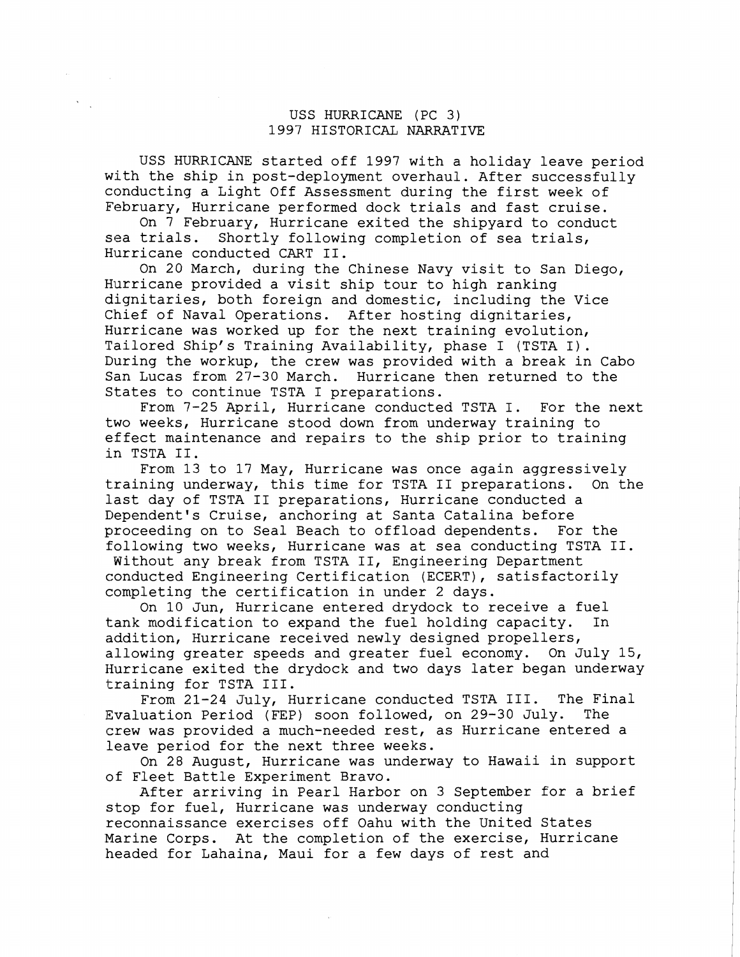## USS HURRICANE (PC 3) 1997 HISTORICAL NARRATIVE

USS HURRICANE started off 1997 with a holiday leave period with the ship in post-deployment overhaul. After successfully conducting a Light Off Assessment during the first week of February, Hurricane performed dock trials and fast cruise.

On 7 February, Hurricane exited the shipyard to conduct sea trials. Shortly following completion of sea trials, Hurricane conducted CART 11.

On 20 March, during the Chinese Navy visit to San Diego, Hurricane provided a visit ship tour to high ranking dignitaries, both foreign and domestic, including the Vice Chief of Naval Operations. After hosting dignitaries, Hurricane was worked up for the next training evolution, Tailored Ship's Training Availability, phase I (TSTA I). During the workup, the crew was provided with a break in Cabo San Lucas from 27-30 March. Hurricane then returned to the States to continue TSTA I preparations.

From 7-25 April, Hurricane conducted TSTA I. For the next two weeks, Hurricane stood down from underway training to effect maintenance and repairs to the ship prior to training in TSTA 11.

From 13 to 17 May, Hurricane was once again aggressively training underway, this time for TSTA I1 preparations. On the last day of TSTA I1 preparations, Hurricane conducted a Dependent's Cruise, anchoring at Santa Catalina before proceeding on to Seal Beach to offload dependents. For the following two weeks, Hurricane was at sea conducting TSTA 11.

Without any break from TSTA 11, Engineering Department conducted Engineering Certification (ECERT), satisfactorily completing the certification in under 2 days.

On 10 Jun, Hurricane entered drydock to receive a fuel tank modification to expand the fuel holding capacity. In addition, Hurricane received newly designed propellers, allowing greater speeds and greater fuel economy. On July 15, Hurricane exited the drydock and two days later began underway training for TSTA 111.

From 21-24 July, Hurricane conducted TSTA 111. The Final Evaluation Period (FEP) soon followed, on 29-30 July. The crew was provided a much-needed rest, as Hurricane entered a leave period for the next three weeks.

On 28 August, Hurricane was underway to Hawaii in support of Fleet Battle Experiment Bravo.

After arriving in Pearl Harbor on 3 September for a brief stop for fuel, Hurricane was underway conducting reconnaissance exercises off Oahu with the United States Marine Corps. At the completion of the exercise, Hurricane headed for Lahaina, Maui for a few days of rest and